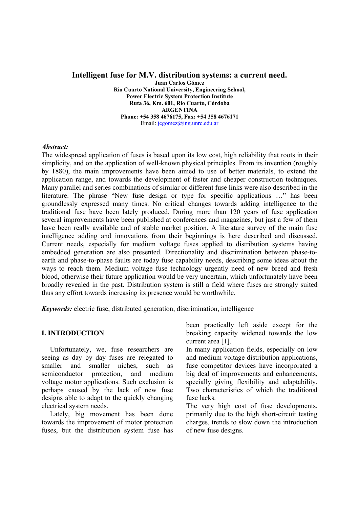## **Intelligent fuse for M.V. distribution systems: a current need.**

**Juan Carlos Gómez Rio Cuarto National University, Engineering School, Power Electric System Protection Institute Ruta 36, Km. 601, Río Cuarto, Córdoba ARGENTINA Phone: +54 358 4676175, Fax: +54 358 4676171**  Email: jcgomez@ing.unrc.edu.ar

## *Abstract:*

The widespread application of fuses is based upon its low cost, high reliability that roots in their simplicity, and on the application of well-known physical principles. From its invention (roughly by 1880), the main improvements have been aimed to use of better materials, to extend the application range, and towards the development of faster and cheaper construction techniques. Many parallel and series combinations of similar or different fuse links were also described in the literature. The phrase "New fuse design or type for specific applications …" has been groundlessly expressed many times. No critical changes towards adding intelligence to the traditional fuse have been lately produced. During more than 120 years of fuse application several improvements have been published at conferences and magazines, but just a few of them have been really available and of stable market position. A literature survey of the main fuse intelligence adding and innovations from their beginnings is here described and discussed. Current needs, especially for medium voltage fuses applied to distribution systems having embedded generation are also presented. Directionality and discrimination between phase-toearth and phase-to-phase faults are today fuse capability needs, describing some ideas about the ways to reach them. Medium voltage fuse technology urgently need of new breed and fresh blood, otherwise their future application would be very uncertain, which unfortunately have been broadly revealed in the past. Distribution system is still a field where fuses are strongly suited thus any effort towards increasing its presence would be worthwhile.

*Keywords:* electric fuse, distributed generation, discrimination, intelligence

## **I. INTRODUCTION**

Unfortunately, we, fuse researchers are seeing as day by day fuses are relegated to smaller and smaller niches, such as semiconductor protection, and medium voltage motor applications. Such exclusion is perhaps caused by the lack of new fuse designs able to adapt to the quickly changing electrical system needs.

Lately, big movement has been done towards the improvement of motor protection fuses, but the distribution system fuse has

been practically left aside except for the breaking capacity widened towards the low current area [1].

In many application fields, especially on low and medium voltage distribution applications, fuse competitor devices have incorporated a big deal of improvements and enhancements, specially giving flexibility and adaptability. Two characteristics of which the traditional fuse lacks.

The very high cost of fuse developments, primarily due to the high short-circuit testing charges, trends to slow down the introduction of new fuse designs.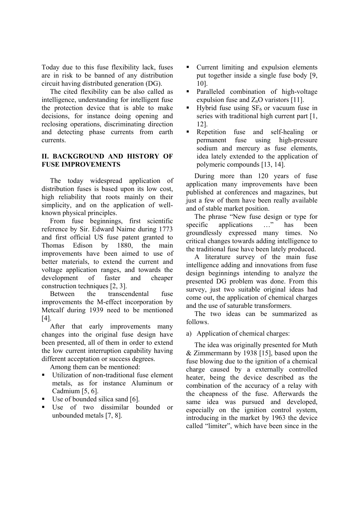Today due to this fuse flexibility lack, fuses are in risk to be banned of any distribution circuit having distributed generation (DG).

The cited flexibility can be also called as intelligence, understanding for intelligent fuse the protection device that is able to make decisions, for instance doing opening and reclosing operations, discriminating direction and detecting phase currents from earth currents.

## **II. BACKGROUND AND HISTORY OF FUSE IMPROVEMENTS**

The today widespread application of distribution fuses is based upon its low cost, high reliability that roots mainly on their simplicity, and on the application of wellknown physical principles.

From fuse beginnings, first scientific reference by Sir. Edward Nairne during 1773 and first official US fuse patent granted to Thomas Edison by 1880, the main improvements have been aimed to use of better materials, to extend the current and voltage application ranges, and towards the development of faster and cheaper construction techniques [2, 3].

Between the transcendental fuse improvements the M-effect incorporation by Metcalf during 1939 need to be mentioned [4].

After that early improvements many changes into the original fuse design have been presented, all of them in order to extend the low current interruption capability having different acceptation or success degrees.

Among them can be mentioned:

- Utilization of non-traditional fuse element metals, as for instance Aluminum or Cadmium [5, 6].
- Use of bounded silica sand [6].
- Use of two dissimilar bounded or unbounded metals [7, 8].
- Current limiting and expulsion elements put together inside a single fuse body [9, 10].
- Paralleled combination of high-voltage expulsion fuse and  $Z_nO$  varistors [11].
- $\blacksquare$  Hybrid fuse using SF<sub>6</sub> or vacuum fuse in series with traditional high current part [1, 12].
- Repetition fuse and self-healing or permanent fuse using high-pressure sodium and mercury as fuse elements, idea lately extended to the application of polymeric compounds [13, 14].

During more than 120 years of fuse application many improvements have been published at conferences and magazines, but just a few of them have been really available and of stable market position.

The phrase "New fuse design or type for<br>ecific applications ..." has been specific applications ..." has been groundlessly expressed many times. No critical changes towards adding intelligence to the traditional fuse have been lately produced.

A literature survey of the main fuse intelligence adding and innovations from fuse design beginnings intending to analyze the presented DG problem was done. From this survey, just two suitable original ideas had come out, the application of chemical charges and the use of saturable transformers.

The two ideas can be summarized as follows.

a) Application of chemical charges:

The idea was originally presented for Muth & Zimmermann by 1938 [15], based upon the fuse blowing due to the ignition of a chemical charge caused by a externally controlled heater, being the device described as the combination of the accuracy of a relay with the cheapness of the fuse. Afterwards the same idea was pursued and developed, especially on the ignition control system, introducing in the market by 1963 the device called "limiter", which have been since in the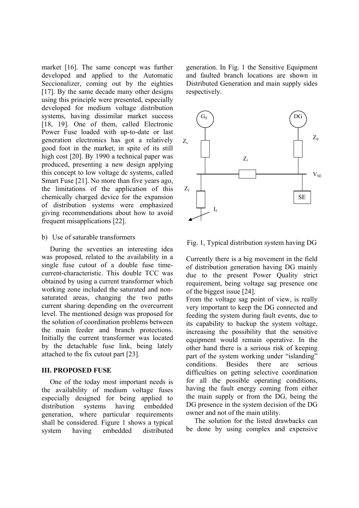market [16]. The same concept was further developed and applied to the Automatic Seccionalizer, coming out by the eighties [17]. By the same decade many other designs using this principle were presented, especially developed for medium voltage distribution systems, having dissimilar market success [18, 19]. One of them, called Electronic Power Fuse loaded with up-to-date or last generation electronics has got a relatively good foot in the market, in spite of its still high cost [20]. By 1990 a technical paper was produced, presenting a new design applying this concept to low voltage dc systems, called Smart Fuse [21]. No more than five years ago, the limitations of the application of this chemically charged device for the expansion of distribution systems were emphasized giving recommendations about how to avoid frequent misapplications [22].

### b) Use of saturable transformers

During the seventies an interesting idea was proposed, related to the availability in a single fuse cutout of a double fuse timecurrent-characteristic. This double TCC was obtained by using a current transformer which working zone included the saturated and nonsaturated areas, changing the two paths current sharing depending on the overcurrent level. The mentioned design was proposed for the solution of coordination problems between the main feeder and branch protections. Initially the current transformer was located by the detachable fuse link, being lately attached to the fix cutout part [23].

#### **III. PROPOSED FUSE**

One of the today most important needs is the availability of medium voltage fuses especially designed for being applied to distribution systems having embedded generation, where particular requirements shall be considered. Figure 1 shows a typical system having embedded distributed generation. In Fig. 1 the Sensitive Equipment and faulted branch locations are shown in Distributed Generation and main supply sides respectively.



Fig. 1, Typical distribution system having DG

Currently there is a big movement in the field of distribution generation having DG mainly due to the present Power Quality strict requirement, being voltage sag presence one of the biggest issue [24].

From the voltage sag point of view, is really very important to keep the DG connected and feeding the system during fault events, due to its capability to backup the system voltage, increasing the possibility that the sensitive equipment would remain operative. In the other hand there is a serious risk of keeping part of the system working under "islanding" conditions. Besides there are serious difficulties on getting selective coordination for all the possible operating conditions, having the fault energy coming from either the main supply or from the DG, being the DG presence in the system decision of the DG owner and not of the main utility.

The solution for the listed drawbacks can be done by using complex and expensive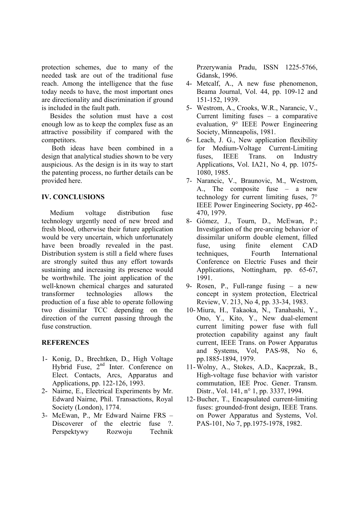protection schemes, due to many of the needed task are out of the traditional fuse reach. Among the intelligence that the fuse today needs to have, the most important ones are directionality and discrimination if ground is included in the fault path.

Besides the solution must have a cost enough low as to keep the complex fuse as an attractive possibility if compared with the competitors.

 Both ideas have been combined in a design that analytical studies shown to be very auspicious. As the design is in its way to start the patenting process, no further details can be provided here.

# **IV. CONCLUSIONS**

Medium voltage distribution fuse technology urgently need of new breed and fresh blood, otherwise their future application would be very uncertain, which unfortunately have been broadly revealed in the past. Distribution system is still a field where fuses are strongly suited thus any effort towards sustaining and increasing its presence would be worthwhile. The joint application of the well-known chemical charges and saturated transformer technologies allows the production of a fuse able to operate following two dissimilar TCC depending on the direction of the current passing through the fuse construction.

## **REFERENCES**

- 1- Konig, D., Brechtken, D., High Voltage Hybrid Fuse, 2<sup>nd</sup> Inter. Conference on Elect. Contacts, Arcs, Apparatus and Applications, pp. 122-126, 1993.
- 2- Nairne, E., Electrical Experiments by Mr. Edward Nairne, Phil. Transactions, Royal Society (London), 1774.
- 3- McEwan, P., Mr Edward Nairne FRS Discoverer of the electric fuse ?. Perspektywy Rozwoju Technik

Przerywania Pradu, ISSN 1225-5766, Gdansk, 1996.

- 4- Metcalf, A., A new fuse phenomenon, Beama Journal, Vol. 44, pp. 109-12 and 151-152, 1939.
- 5- Westrom, A., Crooks, W.R., Narancic, V., Current limiting fuses – a comparative evaluation, 9° IEEE Power Engineering Society, Minneapolis, 1981.
- 6- Leach, J. G., New application flexibility for Medium-Voltage Current-Limiting fuses, IEEE Trans. on Industry Applications, Vol. IA21, No 4, pp. 1075- 1080, 1985.
- 7- Narancic, V., Braunovic, M., Westrom, A., The composite fuse – a new technology for current limiting fuses, 7° IEEE Power Engineering Society, pp 462- 470, 1979.
- 8- Gómez, J., Tourn, D., McEwan, P.; Investigation of the pre-arcing behavior of dissimilar uniform double element, filled fuse, using finite element CAD techniques, Fourth International Conference on Electric Fuses and their Applications, Nottingham, pp. 65-67, 1991.
- 9- Rosen, P., Full-range fusing a new concept in system protection, Electrical Review, V. 213, No 4, pp. 33-34, 1983.
- 10- Miura, H., Takaoka, N., Tanahashi, Y., Ono, Y., Kito, Y., New dual-element current limiting power fuse with full protection capability against any fault current, IEEE Trans. on Power Apparatus and Systems, Vol, PAS-98, No 6, pp.1885-1894, 1979.
- 11- Wolny, A., Stokes, A.D., Kacprzak, B., High-voltage fuse behavior with varistor commutation, IEE Proc. Gener. Transm. Distr., Vol. 141, n° 1, pp. 3337, 1994.
- 12-Bucher, T., Encapsulated current-limiting fuses: grounded-front design, IEEE Trans. on Power Apparatus and Systems, Vol. PAS-101, No 7, pp.1975-1978, 1982.